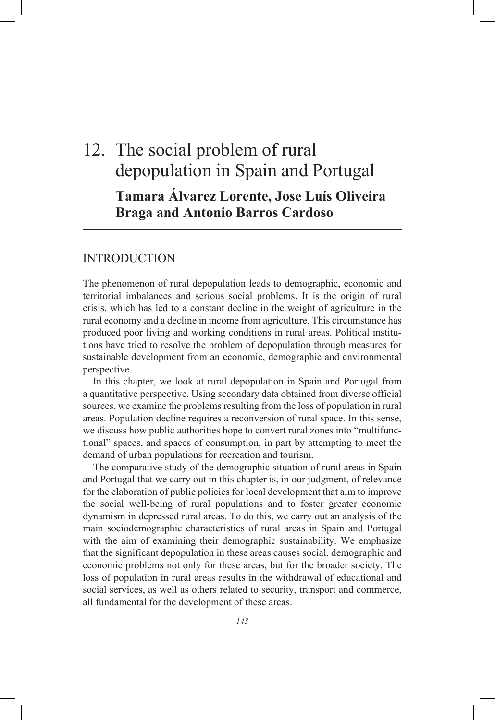# 12. The social problem of rural depopulation in Spain and Portugal **Tamara Álvarez Lorente, Jose Luís Oliveira Braga and Antonio Barros Cardoso**

## INTRODUCTION

The phenomenon of rural depopulation leads to demographic, economic and territorial imbalances and serious social problems. It is the origin of rural crisis, which has led to a constant decline in the weight of agriculture in the rural economy and a decline in income from agriculture. This circumstance has produced poor living and working conditions in rural areas. Political institutions have tried to resolve the problem of depopulation through measures for sustainable development from an economic, demographic and environmental perspective.

In this chapter, we look at rural depopulation in Spain and Portugal from a quantitative perspective. Using secondary data obtained from diverse official sources, we examine the problems resulting from the loss of population in rural areas. Population decline requires a reconversion of rural space. In this sense, we discuss how public authorities hope to convert rural zones into "multifunctional" spaces, and spaces of consumption, in part by attempting to meet the demand of urban populations for recreation and tourism.

The comparative study of the demographic situation of rural areas in Spain and Portugal that we carry out in this chapter is, in our judgment, of relevance for the elaboration of public policies for local development that aim to improve the social well-being of rural populations and to foster greater economic dynamism in depressed rural areas. To do this, we carry out an analysis of the main sociodemographic characteristics of rural areas in Spain and Portugal with the aim of examining their demographic sustainability. We emphasize that the significant depopulation in these areas causes social, demographic and economic problems not only for these areas, but for the broader society. The loss of population in rural areas results in the withdrawal of educational and social services, as well as others related to security, transport and commerce, all fundamental for the development of these areas.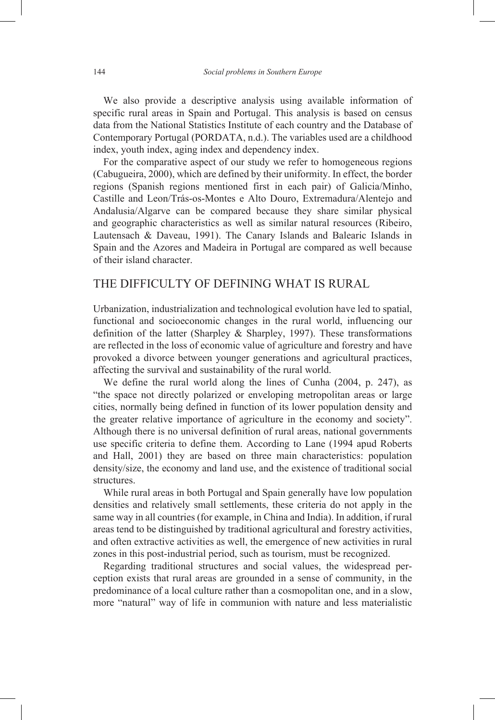We also provide a descriptive analysis using available information of specific rural areas in Spain and Portugal. This analysis is based on census data from the National Statistics Institute of each country and the Database of Contemporary Portugal (PORDATA, n.d.). The variables used are a childhood index, youth index, aging index and dependency index.

For the comparative aspect of our study we refer to homogeneous regions (Cabugueira, 2000), which are defined by their uniformity. In effect, the border regions (Spanish regions mentioned first in each pair) of Galicia/Minho, Castille and Leon/Trás-os-Montes e Alto Douro, Extremadura/Alentejo and Andalusia/Algarve can be compared because they share similar physical and geographic characteristics as well as similar natural resources (Ribeiro, Lautensach & Daveau, 1991). The Canary Islands and Balearic Islands in Spain and the Azores and Madeira in Portugal are compared as well because of their island character.

## THE DIFFICULTY OF DEFINING WHAT IS RURAL

Urbanization, industrialization and technological evolution have led to spatial, functional and socioeconomic changes in the rural world, influencing our definition of the latter (Sharpley  $\&$  Sharpley, 1997). These transformations are reflected in the loss of economic value of agriculture and forestry and have provoked a divorce between younger generations and agricultural practices, affecting the survival and sustainability of the rural world.

We define the rural world along the lines of Cunha (2004, p. 247), as "the space not directly polarized or enveloping metropolitan areas or large cities, normally being defined in function of its lower population density and the greater relative importance of agriculture in the economy and society". Although there is no universal definition of rural areas, national governments use specific criteria to define them. According to Lane (1994 apud Roberts and Hall, 2001) they are based on three main characteristics: population density/size, the economy and land use, and the existence of traditional social structures.

While rural areas in both Portugal and Spain generally have low population densities and relatively small settlements, these criteria do not apply in the same way in all countries (for example, in China and India). In addition, if rural areas tend to be distinguished by traditional agricultural and forestry activities, and often extractive activities as well, the emergence of new activities in rural zones in this post-industrial period, such as tourism, must be recognized.

Regarding traditional structures and social values, the widespread perception exists that rural areas are grounded in a sense of community, in the predominance of a local culture rather than a cosmopolitan one, and in a slow, more "natural" way of life in communion with nature and less materialistic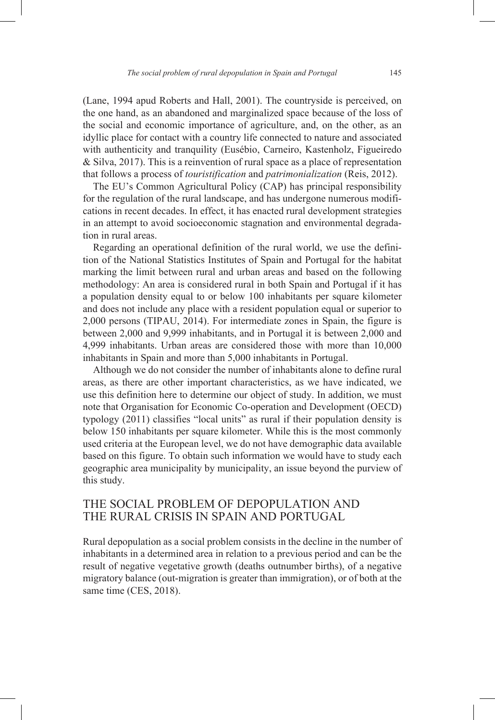(Lane, 1994 apud Roberts and Hall, 2001). The countryside is perceived, on the one hand, as an abandoned and marginalized space because of the loss of the social and economic importance of agriculture, and, on the other, as an idyllic place for contact with a country life connected to nature and associated with authenticity and tranquility (Eusébio, Carneiro, Kastenholz, Figueiredo & Silva, 2017). This is a reinvention of rural space as a place of representation that follows a process of *touristification* and *patrimonialization* (Reis, 2012).

The EU's Common Agricultural Policy (CAP) has principal responsibility for the regulation of the rural landscape, and has undergone numerous modifications in recent decades. In effect, it has enacted rural development strategies in an attempt to avoid socioeconomic stagnation and environmental degradation in rural areas.

Regarding an operational definition of the rural world, we use the definition of the National Statistics Institutes of Spain and Portugal for the habitat marking the limit between rural and urban areas and based on the following methodology: An area is considered rural in both Spain and Portugal if it has a population density equal to or below 100 inhabitants per square kilometer and does not include any place with a resident population equal or superior to 2,000 persons (TIPAU, 2014). For intermediate zones in Spain, the figure is between 2,000 and 9,999 inhabitants, and in Portugal it is between 2,000 and 4,999 inhabitants. Urban areas are considered those with more than 10,000 inhabitants in Spain and more than 5,000 inhabitants in Portugal.

Although we do not consider the number of inhabitants alone to define rural areas, as there are other important characteristics, as we have indicated, we use this definition here to determine our object of study. In addition, we must note that Organisation for Economic Co-operation and Development (OECD) typology (2011) classifies "local units" as rural if their population density is below 150 inhabitants per square kilometer. While this is the most commonly used criteria at the European level, we do not have demographic data available based on this figure. To obtain such information we would have to study each geographic area municipality by municipality, an issue beyond the purview of this study.

## THE SOCIAL PROBLEM OF DEPOPULATION AND THE RURAL CRISIS IN SPAIN AND PORTUGAL

Rural depopulation as a social problem consists in the decline in the number of inhabitants in a determined area in relation to a previous period and can be the result of negative vegetative growth (deaths outnumber births), of a negative migratory balance (out-migration is greater than immigration), or of both at the same time (CES, 2018).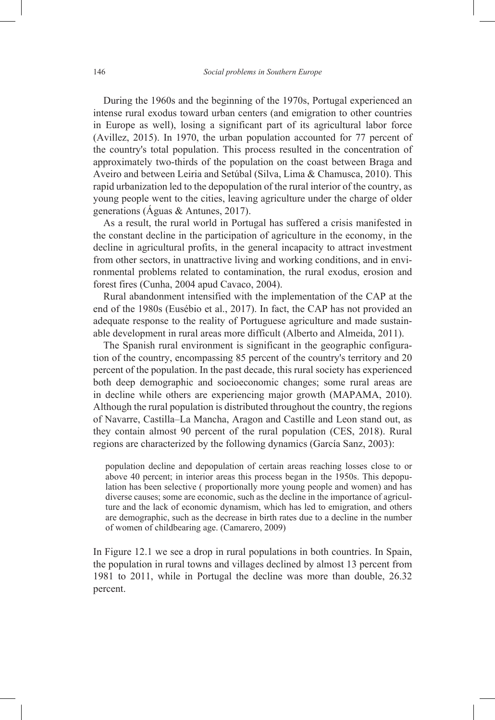During the 1960s and the beginning of the 1970s, Portugal experienced an intense rural exodus toward urban centers (and emigration to other countries in Europe as well), losing a significant part of its agricultural labor force (Avillez, 2015). In 1970, the urban population accounted for 77 percent of the country's total population. This process resulted in the concentration of approximately two-thirds of the population on the coast between Braga and Aveiro and between Leiria and Setúbal (Silva, Lima & Chamusca, 2010). This rapid urbanization led to the depopulation of the rural interior of the country, as young people went to the cities, leaving agriculture under the charge of older generations (Águas & Antunes, 2017).

As a result, the rural world in Portugal has suffered a crisis manifested in the constant decline in the participation of agriculture in the economy, in the decline in agricultural profits, in the general incapacity to attract investment from other sectors, in unattractive living and working conditions, and in environmental problems related to contamination, the rural exodus, erosion and forest fires (Cunha, 2004 apud Cavaco, 2004).

Rural abandonment intensified with the implementation of the CAP at the end of the 1980s (Eusébio et al., 2017). In fact, the CAP has not provided an adequate response to the reality of Portuguese agriculture and made sustainable development in rural areas more difficult (Alberto and Almeida, 2011).

The Spanish rural environment is significant in the geographic configuration of the country, encompassing 85 percent of the country's territory and 20 percent of the population. In the past decade, this rural society has experienced both deep demographic and socioeconomic changes; some rural areas are in decline while others are experiencing major growth (MAPAMA, 2010). Although the rural population is distributed throughout the country, the regions of Navarre, Castilla–La Mancha, Aragon and Castille and Leon stand out, as they contain almost 90 percent of the rural population (CES, 2018). Rural regions are characterized by the following dynamics (García Sanz, 2003):

population decline and depopulation of certain areas reaching losses close to or above 40 percent; in interior areas this process began in the 1950s. This depopulation has been selective ( proportionally more young people and women) and has diverse causes; some are economic, such as the decline in the importance of agriculture and the lack of economic dynamism, which has led to emigration, and others are demographic, such as the decrease in birth rates due to a decline in the number of women of childbearing age. (Camarero, 2009)

In Figure 12.1 we see a drop in rural populations in both countries. In Spain, the population in rural towns and villages declined by almost 13 percent from 1981 to 2011, while in Portugal the decline was more than double, 26.32 percent.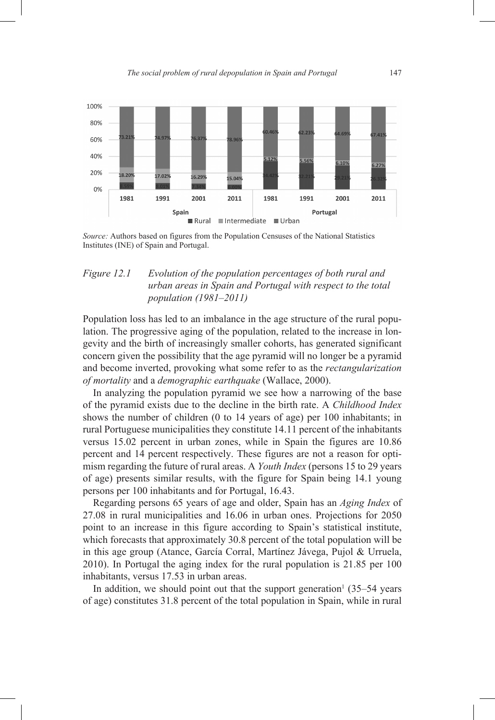

*Source:* Authors based on figures from the Population Censuses of the National Statistics Institutes (INE) of Spain and Portugal.

#### *Figure 12.1 Evolution of the population percentages of both rural and urban areas in Spain and Portugal with respect to the total population (1981–2011)*

Population loss has led to an imbalance in the age structure of the rural population. The progressive aging of the population, related to the increase in longevity and the birth of increasingly smaller cohorts, has generated significant concern given the possibility that the age pyramid will no longer be a pyramid and become inverted, provoking what some refer to as the *rectangularization of mortality* and a *demographic earthquake* (Wallace, 2000).

In analyzing the population pyramid we see how a narrowing of the base of the pyramid exists due to the decline in the birth rate. A *Childhood Index* shows the number of children (0 to 14 years of age) per 100 inhabitants; in rural Portuguese municipalities they constitute 14.11 percent of the inhabitants versus 15.02 percent in urban zones, while in Spain the figures are 10.86 percent and 14 percent respectively. These figures are not a reason for optimism regarding the future of rural areas. A *Youth Index* (persons 15 to 29 years of age) presents similar results, with the figure for Spain being 14.1 young persons per 100 inhabitants and for Portugal, 16.43.

Regarding persons 65 years of age and older, Spain has an *Aging Index* of 27.08 in rural municipalities and 16.06 in urban ones. Projections for 2050 point to an increase in this figure according to Spain's statistical institute, which forecasts that approximately 30.8 percent of the total population will be in this age group (Atance, García Corral, Martínez Jávega, Pujol & Urruela, 2010). In Portugal the aging index for the rural population is 21.85 per 100 inhabitants, versus 17.53 in urban areas.

In addition, we should point out that the support generation<sup> $1$ </sup> (35–54 years of age) constitutes 31.8 percent of the total population in Spain, while in rural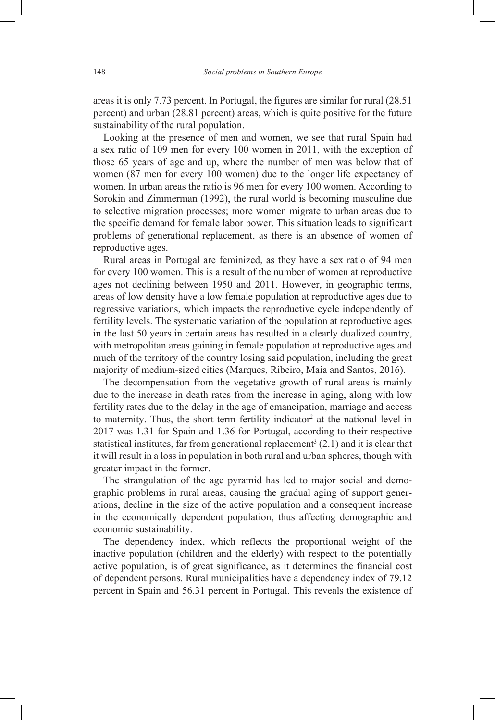areas it is only 7.73 percent. In Portugal, the figures are similar for rural (28.51 percent) and urban (28.81 percent) areas, which is quite positive for the future sustainability of the rural population.

Looking at the presence of men and women, we see that rural Spain had a sex ratio of 109 men for every 100 women in 2011, with the exception of those 65 years of age and up, where the number of men was below that of women (87 men for every 100 women) due to the longer life expectancy of women. In urban areas the ratio is 96 men for every 100 women. According to Sorokin and Zimmerman (1992), the rural world is becoming masculine due to selective migration processes; more women migrate to urban areas due to the specific demand for female labor power. This situation leads to significant problems of generational replacement, as there is an absence of women of reproductive ages.

Rural areas in Portugal are feminized, as they have a sex ratio of 94 men for every 100 women. This is a result of the number of women at reproductive ages not declining between 1950 and 2011. However, in geographic terms, areas of low density have a low female population at reproductive ages due to regressive variations, which impacts the reproductive cycle independently of fertility levels. The systematic variation of the population at reproductive ages in the last 50 years in certain areas has resulted in a clearly dualized country, with metropolitan areas gaining in female population at reproductive ages and much of the territory of the country losing said population, including the great majority of medium-sized cities (Marques, Ribeiro, Maia and Santos, 2016).

The decompensation from the vegetative growth of rural areas is mainly due to the increase in death rates from the increase in aging, along with low fertility rates due to the delay in the age of emancipation, marriage and access to maternity. Thus, the short-term fertility indicator<sup>2</sup> at the national level in 2017 was 1.31 for Spain and 1.36 for Portugal, according to their respective statistical institutes, far from generational replacement<sup>3</sup>  $(2.1)$  and it is clear that it will result in a loss in population in both rural and urban spheres, though with greater impact in the former.

The strangulation of the age pyramid has led to major social and demographic problems in rural areas, causing the gradual aging of support generations, decline in the size of the active population and a consequent increase in the economically dependent population, thus affecting demographic and economic sustainability.

The dependency index, which reflects the proportional weight of the inactive population (children and the elderly) with respect to the potentially active population, is of great significance, as it determines the financial cost of dependent persons. Rural municipalities have a dependency index of 79.12 percent in Spain and 56.31 percent in Portugal. This reveals the existence of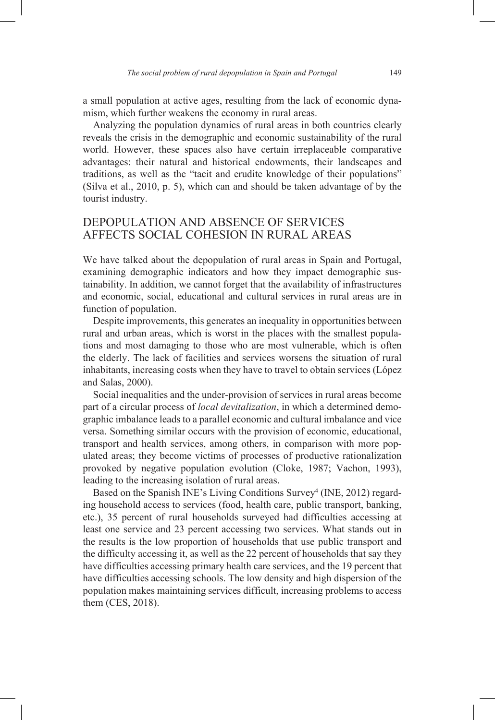a small population at active ages, resulting from the lack of economic dynamism, which further weakens the economy in rural areas.

Analyzing the population dynamics of rural areas in both countries clearly reveals the crisis in the demographic and economic sustainability of the rural world. However, these spaces also have certain irreplaceable comparative advantages: their natural and historical endowments, their landscapes and traditions, as well as the "tacit and erudite knowledge of their populations" (Silva et al., 2010, p. 5), which can and should be taken advantage of by the tourist industry.

## DEPOPULATION AND ABSENCE OF SERVICES AFFECTS SOCIAL COHESION IN RURAL AREAS

We have talked about the depopulation of rural areas in Spain and Portugal, examining demographic indicators and how they impact demographic sustainability. In addition, we cannot forget that the availability of infrastructures and economic, social, educational and cultural services in rural areas are in function of population.

Despite improvements, this generates an inequality in opportunities between rural and urban areas, which is worst in the places with the smallest populations and most damaging to those who are most vulnerable, which is often the elderly. The lack of facilities and services worsens the situation of rural inhabitants, increasing costs when they have to travel to obtain services (López and Salas, 2000).

Social inequalities and the under-provision of services in rural areas become part of a circular process of *local devitalization*, in which a determined demographic imbalance leads to a parallel economic and cultural imbalance and vice versa. Something similar occurs with the provision of economic, educational, transport and health services, among others, in comparison with more populated areas; they become victims of processes of productive rationalization provoked by negative population evolution (Cloke, 1987; Vachon, 1993), leading to the increasing isolation of rural areas.

Based on the Spanish INE's Living Conditions Survey<sup>4</sup> (INE, 2012) regarding household access to services (food, health care, public transport, banking, etc.), 35 percent of rural households surveyed had difficulties accessing at least one service and 23 percent accessing two services. What stands out in the results is the low proportion of households that use public transport and the difficulty accessing it, as well as the 22 percent of households that say they have difficulties accessing primary health care services, and the 19 percent that have difficulties accessing schools. The low density and high dispersion of the population makes maintaining services difficult, increasing problems to access them (CES, 2018).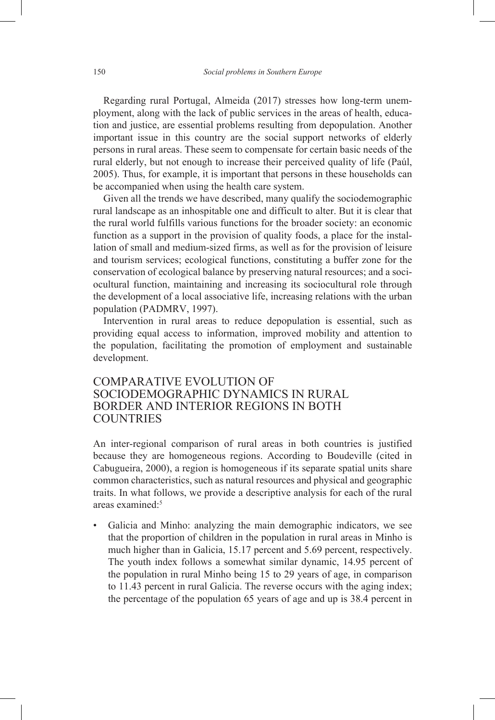Regarding rural Portugal, Almeida (2017) stresses how long-term unemployment, along with the lack of public services in the areas of health, education and justice, are essential problems resulting from depopulation. Another important issue in this country are the social support networks of elderly persons in rural areas. These seem to compensate for certain basic needs of the rural elderly, but not enough to increase their perceived quality of life (Paúl, 2005). Thus, for example, it is important that persons in these households can be accompanied when using the health care system.

Given all the trends we have described, many qualify the sociodemographic rural landscape as an inhospitable one and difficult to alter. But it is clear that the rural world fulfills various functions for the broader society: an economic function as a support in the provision of quality foods, a place for the installation of small and medium-sized firms, as well as for the provision of leisure and tourism services; ecological functions, constituting a buffer zone for the conservation of ecological balance by preserving natural resources; and a sociocultural function, maintaining and increasing its sociocultural role through the development of a local associative life, increasing relations with the urban population (PADMRV, 1997).

Intervention in rural areas to reduce depopulation is essential, such as providing equal access to information, improved mobility and attention to the population, facilitating the promotion of employment and sustainable development.

## COMPARATIVE EVOLUTION OF SOCIODEMOGRAPHIC DYNAMICS IN RURAL BORDER AND INTERIOR REGIONS IN BOTH **COUNTRIES**

An inter-regional comparison of rural areas in both countries is justified because they are homogeneous regions. According to Boudeville (cited in Cabugueira, 2000), a region is homogeneous if its separate spatial units share common characteristics, such as natural resources and physical and geographic traits. In what follows, we provide a descriptive analysis for each of the rural areas examined:5

Galicia and Minho: analyzing the main demographic indicators, we see that the proportion of children in the population in rural areas in Minho is much higher than in Galicia, 15.17 percent and 5.69 percent, respectively. The youth index follows a somewhat similar dynamic, 14.95 percent of the population in rural Minho being 15 to 29 years of age, in comparison to 11.43 percent in rural Galicia. The reverse occurs with the aging index; the percentage of the population 65 years of age and up is 38.4 percent in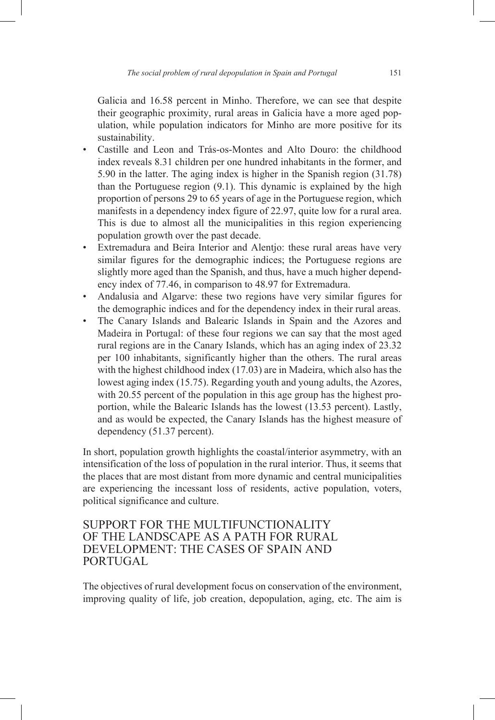Galicia and 16.58 percent in Minho. Therefore, we can see that despite their geographic proximity, rural areas in Galicia have a more aged population, while population indicators for Minho are more positive for its sustainability.

- Castille and Leon and Trás-os-Montes and Alto Douro: the childhood index reveals 8.31 children per one hundred inhabitants in the former, and 5.90 in the latter. The aging index is higher in the Spanish region (31.78) than the Portuguese region (9.1). This dynamic is explained by the high proportion of persons 29 to 65 years of age in the Portuguese region, which manifests in a dependency index figure of 22.97, quite low for a rural area. This is due to almost all the municipalities in this region experiencing population growth over the past decade.
- Extremadura and Beira Interior and Alentjo: these rural areas have very similar figures for the demographic indices; the Portuguese regions are slightly more aged than the Spanish, and thus, have a much higher dependency index of 77.46, in comparison to 48.97 for Extremadura.
- Andalusia and Algarve: these two regions have very similar figures for the demographic indices and for the dependency index in their rural areas.
- The Canary Islands and Balearic Islands in Spain and the Azores and Madeira in Portugal: of these four regions we can say that the most aged rural regions are in the Canary Islands, which has an aging index of 23.32 per 100 inhabitants, significantly higher than the others. The rural areas with the highest childhood index (17.03) are in Madeira, which also has the lowest aging index (15.75). Regarding youth and young adults, the Azores, with 20.55 percent of the population in this age group has the highest proportion, while the Balearic Islands has the lowest (13.53 percent). Lastly, and as would be expected, the Canary Islands has the highest measure of dependency (51.37 percent).

In short, population growth highlights the coastal/interior asymmetry, with an intensification of the loss of population in the rural interior. Thus, it seems that the places that are most distant from more dynamic and central municipalities are experiencing the incessant loss of residents, active population, voters, political significance and culture.

## SUPPORT FOR THE MULTIFUNCTIONALITY OF THE LANDSCAPE AS A PATH FOR RURAL DEVELOPMENT: THE CASES OF SPAIN AND PORTUGAL

The objectives of rural development focus on conservation of the environment, improving quality of life, job creation, depopulation, aging, etc. The aim is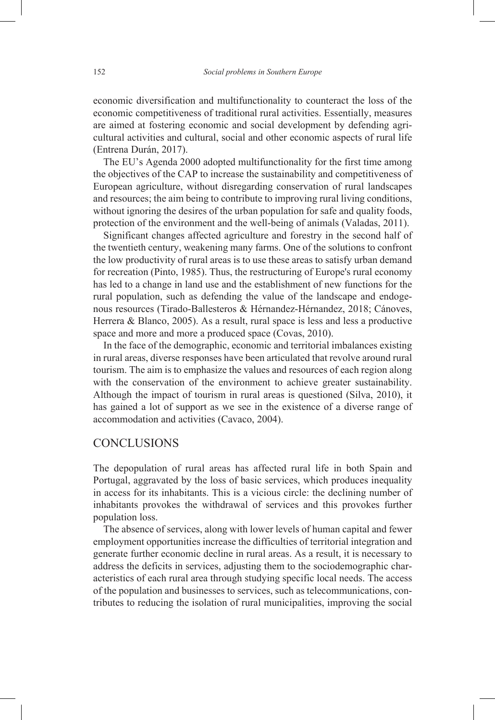economic diversification and multifunctionality to counteract the loss of the economic competitiveness of traditional rural activities. Essentially, measures are aimed at fostering economic and social development by defending agricultural activities and cultural, social and other economic aspects of rural life (Entrena Durán, 2017).

The EU's Agenda 2000 adopted multifunctionality for the first time among the objectives of the CAP to increase the sustainability and competitiveness of European agriculture, without disregarding conservation of rural landscapes and resources; the aim being to contribute to improving rural living conditions, without ignoring the desires of the urban population for safe and quality foods, protection of the environment and the well-being of animals (Valadas, 2011).

Significant changes affected agriculture and forestry in the second half of the twentieth century, weakening many farms. One of the solutions to confront the low productivity of rural areas is to use these areas to satisfy urban demand for recreation (Pinto, 1985). Thus, the restructuring of Europe's rural economy has led to a change in land use and the establishment of new functions for the rural population, such as defending the value of the landscape and endogenous resources (Tirado-Ballesteros & Hérnandez-Hérnandez, 2018; Cánoves, Herrera & Blanco, 2005). As a result, rural space is less and less a productive space and more and more a produced space (Covas, 2010).

In the face of the demographic, economic and territorial imbalances existing in rural areas, diverse responses have been articulated that revolve around rural tourism. The aim is to emphasize the values and resources of each region along with the conservation of the environment to achieve greater sustainability. Although the impact of tourism in rural areas is questioned (Silva, 2010), it has gained a lot of support as we see in the existence of a diverse range of accommodation and activities (Cavaco, 2004).

#### **CONCLUSIONS**

The depopulation of rural areas has affected rural life in both Spain and Portugal, aggravated by the loss of basic services, which produces inequality in access for its inhabitants. This is a vicious circle: the declining number of inhabitants provokes the withdrawal of services and this provokes further population loss.

The absence of services, along with lower levels of human capital and fewer employment opportunities increase the difficulties of territorial integration and generate further economic decline in rural areas. As a result, it is necessary to address the deficits in services, adjusting them to the sociodemographic characteristics of each rural area through studying specific local needs. The access of the population and businesses to services, such as telecommunications, contributes to reducing the isolation of rural municipalities, improving the social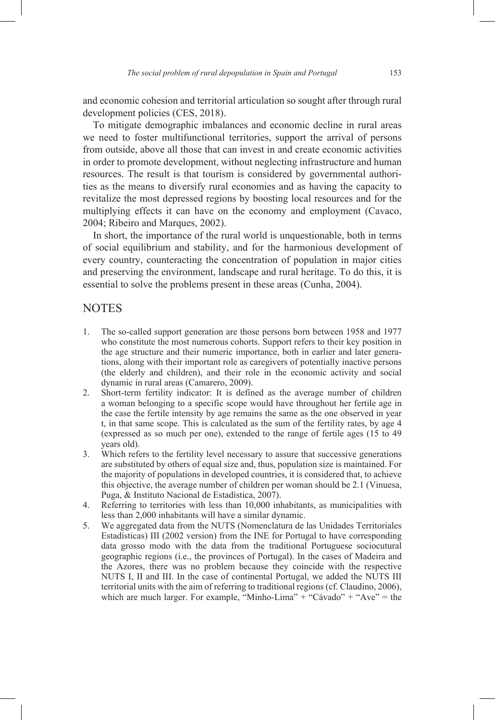and economic cohesion and territorial articulation so sought after through rural development policies (CES, 2018).

To mitigate demographic imbalances and economic decline in rural areas we need to foster multifunctional territories, support the arrival of persons from outside, above all those that can invest in and create economic activities in order to promote development, without neglecting infrastructure and human resources. The result is that tourism is considered by governmental authorities as the means to diversify rural economies and as having the capacity to revitalize the most depressed regions by boosting local resources and for the multiplying effects it can have on the economy and employment (Cavaco, 2004; Ribeiro and Marques, 2002).

In short, the importance of the rural world is unquestionable, both in terms of social equilibrium and stability, and for the harmonious development of every country, counteracting the concentration of population in major cities and preserving the environment, landscape and rural heritage. To do this, it is essential to solve the problems present in these areas (Cunha, 2004).

#### **NOTES**

- 1. The so-called support generation are those persons born between 1958 and 1977 who constitute the most numerous cohorts. Support refers to their key position in the age structure and their numeric importance, both in earlier and later generations, along with their important role as caregivers of potentially inactive persons (the elderly and children), and their role in the economic activity and social dynamic in rural areas (Camarero, 2009).
- 2. Short-term fertility indicator: It is defined as the average number of children a woman belonging to a specific scope would have throughout her fertile age in the case the fertile intensity by age remains the same as the one observed in year t, in that same scope. This is calculated as the sum of the fertility rates, by age 4 (expressed as so much per one), extended to the range of fertile ages (15 to 49 years old).
- 3. Which refers to the fertility level necessary to assure that successive generations are substituted by others of equal size and, thus, population size is maintained. For the majority of populations in developed countries, it is considered that, to achieve this objective, the average number of children per woman should be 2.1 (Vinuesa, Puga, & Instituto Nacional de Estadística, 2007).
- 4. Referring to territories with less than 10,000 inhabitants, as municipalities with less than 2,000 inhabitants will have a similar dynamic.
- 5. We aggregated data from the NUTS (Nomenclatura de las Unidades Territoriales Estadísticas) III (2002 version) from the INE for Portugal to have corresponding data grosso modo with the data from the traditional Portuguese sociocutural geographic regions (i.e., the provinces of Portugal). In the cases of Madeira and the Azores, there was no problem because they coincide with the respective NUTS I, II and III. In the case of continental Portugal, we added the NUTS III territorial units with the aim of referring to traditional regions (cf. Claudino, 2006), which are much larger. For example, "Minho-Lima" + "Cávado" + "Ave" = the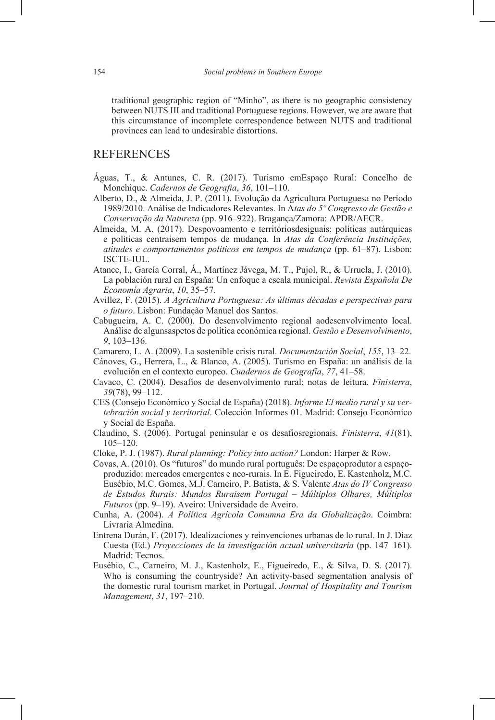traditional geographic region of "Minho", as there is no geographic consistency between NUTS III and traditional Portuguese regions. However, we are aware that this circumstance of incomplete correspondence between NUTS and traditional provinces can lead to undesirable distortions.

#### **REFERENCES**

- Águas, T., & Antunes, C. R. (2017). Turismo emEspaço Rural: Concelho de Monchique. *Cadernos de Geografia*, *36*, 101–110.
- Alberto, D., & Almeida, J. P. (2011). Evolução da Agricultura Portuguesa no Período 1989/2010. Análise de Indicadores Relevantes. In A*tas do 5º Congresso de Gestão e Conservação da Natureza* (pp. 916–922). Bragança/Zamora: APDR/AECR.
- Almeida, M. A. (2017). Despovoamento e territóriosdesiguais: políticas autárquicas e políticas centraisem tempos de mudança. In *Atas da Conferência Instituições, atitudes e comportamentos políticos em tempos de mudança* (pp. 61–87). Lisbon: ISCTE-IUL.
- Atance, I., García Corral, Á., Martínez Jávega, M. T., Pujol, R., & Urruela, J. (2010). La población rural en España: Un enfoque a escala municipal. *Revista Española De Economía Agraria*, *10*, 35–57.
- Avillez, F. (2015). *A Agricultura Portuguesa: As últimas décadas e perspectivas para o futuro*. Lisbon: Fundação Manuel dos Santos.
- Cabugueira, A. C. (2000). Do desenvolvimento regional aodesenvolvimento local. Análise de algunsaspetos de política económica regional. *Gestão e Desenvolvimento*, *9*, 103–136.
- Camarero, L. A. (2009). La sostenible crisis rural. *Documentación Social*, *155*, 13–22.
- Cánoves, G., Herrera, L., & Blanco, A. (2005). Turismo en España: un análisis de la evolución en el contexto europeo. *Cuadernos de Geografía*, *77*, 41–58.
- Cavaco, C. (2004). Desafios de desenvolvimento rural: notas de leitura. *Finisterra*, *39*(78), 99–112.
- CES (Consejo Económico y Social de España) (2018). *Informe El medio rural y su vertebración social y territorial*. Colección Informes 01. Madrid: Consejo Económico y Social de España.
- Claudino, S. (2006). Portugal peninsular e os desafiosregionais. *Finisterra*, *41*(81), 105–120.
- Cloke, P. J. (1987). *Rural planning: Policy into action?* London: Harper & Row.
- Covas, A. (2010). Os "futuros" do mundo rural português: De espaçoprodutor a espaçoproduzido: mercados emergentes e neo-rurais. In E. Figueiredo, E. Kastenholz, M.C. Eusébio, M.C. Gomes, M.J. Carneiro, P. Batista, & S. Valente *Atas do IV Congresso de Estudos Rurais: Mundos Ruraisem Portugal – Múltiplos Olhares, Múltiplos Futuros* (pp. 9–19). Aveiro: Universidade de Aveiro.
- Cunha, A. (2004). *A Política Agrícola Comumna Era da Globalização*. Coimbra: Livraria Almedina.
- Entrena Durán, F. (2017). Idealizaciones y reinvenciones urbanas de lo rural. In J. Díaz Cuesta (Ed.) *Proyecciones de la investigación actual universitaria* (pp. 147–161). Madrid: Tecnos.
- Eusébio, C., Carneiro, M. J., Kastenholz, E., Figueiredo, E., & Silva, D. S. (2017). Who is consuming the countryside? An activity-based segmentation analysis of the domestic rural tourism market in Portugal. *Journal of Hospitality and Tourism Management*, *31*, 197–210.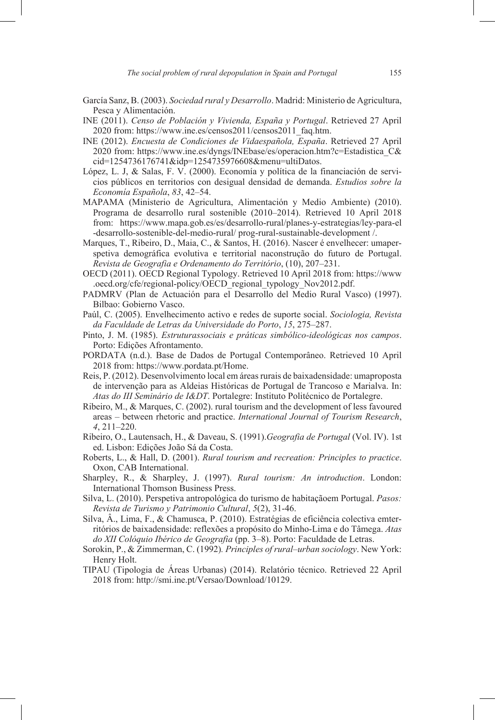- García Sanz, B. (2003). *Sociedad rural y Desarrollo*. Madrid: Ministerio de Agricultura, Pesca y Alimentación.
- INE (2011). *Censo de Población y Vivienda, España y Portugal*. Retrieved 27 April 2020 from: https://www.ine.es/censos2011/censos2011\_faq.htm.
- INE (2012). *Encuesta de Condiciones de Vidaespañola, España*. Retrieved 27 April 2020 from: https://www.ine.es/dyngs/INEbase/es/operacion.htm?c=Estadistica\_C& cid=1254736176741&idp=1254735976608&menu=ultiDatos.
- López, L. J, & Salas, F. V. (2000). Economía y política de la financiación de servicios públicos en territorios con desigual densidad de demanda. *Estudios sobre la Economía Española*, *83*, 42–54.
- MAPAMA (Ministerio de Agricultura, Alimentación y Medio Ambiente) (2010). Programa de desarrollo rural sostenible (2010–2014). Retrieved 10 April 2018 from: https://www.mapa.gob.es/es/desarrollo-rural/planes-y-estrategias/ley-para-el -desarrollo-sostenible-del-medio-rural/ prog-rural-sustainable-development /.
- Marques, T., Ribeiro, D., Maia, C., & Santos, H. (2016). Nascer é envelhecer: umaperspetiva demográfica evolutiva e territorial naconstrução do futuro de Portugal. *Revista de Geografia e Ordenamento do Território*, (10), 207–231.
- OECD (2011). OECD Regional Typology. Retrieved 10 April 2018 from: https://www .oecd.org/cfe/regional-policy/OECD regional typology Nov2012.pdf.
- PADMRV (Plan de Actuación para el Desarrollo del Medio Rural Vasco) (1997). Bilbao: Gobierno Vasco.
- Paúl, C. (2005). Envelhecimento activo e redes de suporte social. *Sociologia, Revista da Faculdade de Letras da Universidade do Porto*, *15*, 275–287.
- Pinto, J. M. (1985). *Estruturassociais e práticas simbólico-ideológicas nos campos*. Porto: Edições Afrontamento.
- PORDATA (n.d.). Base de Dados de Portugal Contemporâneo. Retrieved 10 April 2018 from: https://www.pordata.pt/Home.
- Reis, P. (2012). Desenvolvimento local em áreas rurais de baixadensidade: umaproposta de intervenção para as Aldeias Históricas de Portugal de Trancoso e Marialva. In: *Atas do III Seminário de I&DT*. Portalegre: Instituto Politécnico de Portalegre.
- Ribeiro, M., & Marques, C. (2002). rural tourism and the development of less favoured areas – between rhetoric and practice. *International Journal of Tourism Research*, *4*, 211–220.
- Ribeiro, O., Lautensach, H., & Daveau, S. (1991).*Geografia de Portugal* (Vol. IV). 1st ed. Lisbon: Edições João Sá da Costa.
- Roberts, L., & Hall, D. (2001). *Rural tourism and recreation: Principles to practice*. Oxon, CAB International.
- Sharpley, R., & Sharpley, J. (1997). *Rural tourism: An introduction*. London: International Thomson Business Press.
- Silva, L. (2010). Perspetiva antropológica do turismo de habitaçãoem Portugal. *Pasos: Revista de Turismo y Patrimonio Cultural*, *5*(2), 31-46.
- Silva, Â., Lima, F., & Chamusca, P. (2010). Estratégias de eficiência colectiva emterritórios de baixadensidade: reflexões a propósito do Minho-Lima e do Tâmega. *Atas do XII Colóquio Ibérico de Geografia* (pp. 3–8). Porto: Faculdade de Letras.
- Sorokin, P., & Zimmerman, C. (1992)*. Principles of rural–urban sociology*. New York: Henry Holt.
- TIPAU (Tipologia de Áreas Urbanas) (2014). Relatório técnico. Retrieved 22 April 2018 from: http://smi.ine.pt/Versao/Download/10129.